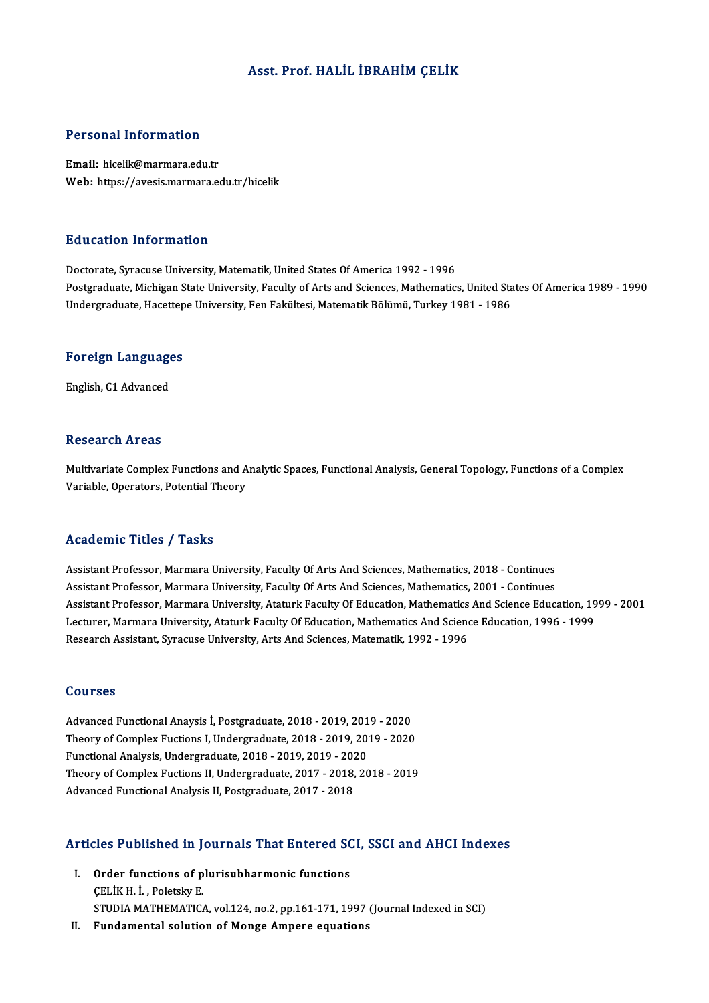## Asst. Prof.HALİL İBRAHİMÇELİK

### Personal Information

Email: hicelik@marmara.edu.tr Web: https://avesis.marmara.edu.tr/hicelik

### Education Information

Doctorate, Syracuse University, Matematik, United States Of America 1992 - 1996 Postgraduate, Michigan State University, Faculty of Arts and Sciences, Mathematics, United States Of America 1989 - 1990 Undergraduate, Hacettepe University, Fen Fakültesi, Matematik Bölümü, Turkey 1981 - 1986

## <sub>ondergraduate, nacettep</sub><br>Foreign Languages <mark>Foreign Languag</mark>e<br>English, C1 Advanced

English, C1 Advanced<br>Research Areas

Multivariate Complex Functions and Analytic Spaces, Functional Analysis, General Topology, Functions of a Complex Variable, Operators, Potential Theory

## Academic Titles / Tasks

Academic Titles / Tasks<br>Assistant Professor, Marmara University, Faculty Of Arts And Sciences, Mathematics, 2018 - Continues<br>Assistant Professor, Marmara University, Faculty Of Arts And Sciences, Mathematics, 2001 , Contin Assistant Professor, Marmara University, Faculty Of Arts And Sciences, Mathematics, 2018 - Continues<br>Assistant Professor, Marmara University, Faculty Of Arts And Sciences, Mathematics, 2001 - Continues<br>Assistant Professor, Assistant Professor, Marmara University, Faculty Of Arts And Sciences, Mathematics, 2018 - Continues<br>Assistant Professor, Marmara University, Faculty Of Arts And Sciences, Mathematics, 2001 - Continues<br>Assistant Professor, Assistant Professor, Marmara University, Faculty Of Arts And Sciences, Mathematics, 2001 - Continues<br>Assistant Professor, Marmara University, Ataturk Faculty Of Education, Mathematics And Science Education, 19<br>Lecturer, Ma Assistant Professor, Marmara University, Ataturk Faculty Of Education, Mathematics<br>Lecturer, Marmara University, Ataturk Faculty Of Education, Mathematics And Scien<br>Research Assistant, Syracuse University, Arts And Science Research Assistant, Syracuse University, Arts And Sciences, Matematik, 1992 - 1996<br>Courses

Courses<br>Advanced Functional Anaysis İ, Postgraduate, 2018 - 2019, 2019 - 2020<br>Theory of Complex Eustions I, Undergraduate, 2018 -2019, 2019, 2020 Theory of Complex Fuctions I, Undergraduate, 2018 - 2019, 2019 - 2020<br>Functional Analysis, Undergraduate, 2018 - 2019, 2019 - 2020 Advanced Functional Anaysis İ, Postgraduate, 2018 - 2019, 2019<br>Theory of Complex Fuctions I, Undergraduate, 2018 - 2019, 2019<br>Functional Analysis, Undergraduate, 2018 - 2019, 2019 - 2020<br>Theory of Complex Eustions II, Unde Theory of Complex Fuctions I, Undergraduate, 2018 - 2019, 2019 - 2020<br>Functional Analysis, Undergraduate, 2018 - 2019, 2019 - 2020<br>Theory of Complex Fuctions II, Undergraduate, 2017 - 2018, 2018 - 2019<br>Advanced Eunctional Functional Analysis, Undergraduate, 2018 - 2019, 2019 - 202<br>Theory of Complex Fuctions II, Undergraduate, 2017 - 2018,<br>Advanced Functional Analysis II, Postgraduate, 2017 - 2018

# Advanced Funcuonal Analysis II, Postgraduate, 2017 - 2018<br>Articles Published in Journals That Entered SCI, SSCI and AHCI Indexes

- **Tricles Published in Journals That Entered SC**<br>I. Order functions of plurisubharmonic functions<br>CELIV H.J. Polately: E I. Order functions of plurisubharmonic functions<br>CELIKH. İ., Poletsky E. STUDIA MATHEMATICA, vol.124, no.2, pp.161-171, 1997 (Journal Indexed in SCI)
- II. Fundamental solution of Monge Ampere equations